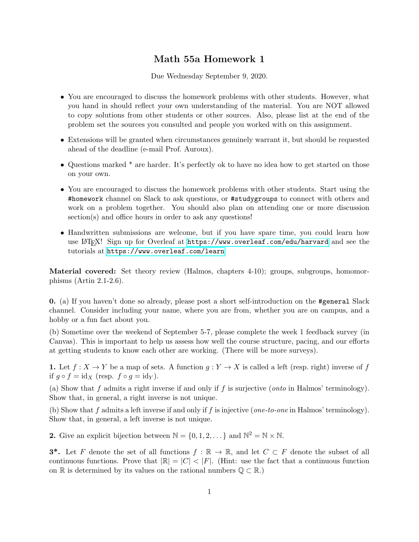## Math 55a Homework 1

Due Wednesday September 9, 2020.

- You are encouraged to discuss the homework problems with other students. However, what you hand in should reflect your own understanding of the material. You are NOT allowed to copy solutions from other students or other sources. Also, please list at the end of the problem set the sources you consulted and people you worked with on this assignment.
- Extensions will be granted when circumstances genuinely warrant it, but should be requested ahead of the deadline (e-mail Prof. Auroux).
- Questions marked \* are harder. It's perfectly ok to have no idea how to get started on those on your own.
- You are encouraged to discuss the homework problems with other students. Start using the #homework channel on Slack to ask questions, or #studygroups to connect with others and work on a problem together. You should also plan on attending one or more discussion section(s) and office hours in order to ask any questions!
- Handwritten submissions are welcome, but if you have spare time, you could learn how use LATEX! Sign up for Overleaf at <https://www.overleaf.com/edu/harvard> and see the tutorials at <https://www.overleaf.com/learn>

Material covered: Set theory review (Halmos, chapters 4-10); groups, subgroups, homomorphisms (Artin 2.1-2.6).

0. (a) If you haven't done so already, please post a short self-introduction on the #general Slack channel. Consider including your name, where you are from, whether you are on campus, and a hobby or a fun fact about you.

(b) Sometime over the weekend of September 5-7, please complete the week 1 feedback survey (in Canvas). This is important to help us assess how well the course structure, pacing, and our efforts at getting students to know each other are working. (There will be more surveys).

1. Let  $f: X \to Y$  be a map of sets. A function  $g: Y \to X$  is called a left (resp. right) inverse of f if  $g \circ f = id_X$  (resp.  $f \circ g = id_Y$ ).

(a) Show that f admits a right inverse if and only if f is surjective (*onto* in Halmos' terminology). Show that, in general, a right inverse is not unique.

(b) Show that f admits a left inverse if and only if f is injective (one-to-one in Halmos' terminology). Show that, in general, a left inverse is not unique.

**2.** Give an explicit bijection between  $\mathbb{N} = \{0, 1, 2, \dots\}$  and  $\mathbb{N}^2 = \mathbb{N} \times \mathbb{N}$ .

**3<sup>\*</sup>.** Let F denote the set of all functions  $f : \mathbb{R} \to \mathbb{R}$ , and let  $C \subset F$  denote the subset of all continuous functions. Prove that  $|\mathbb{R}| = |C| < |F|$ . (Hint: use the fact that a continuous function on R is determined by its values on the rational numbers  $\mathbb{Q} \subset \mathbb{R}$ .)